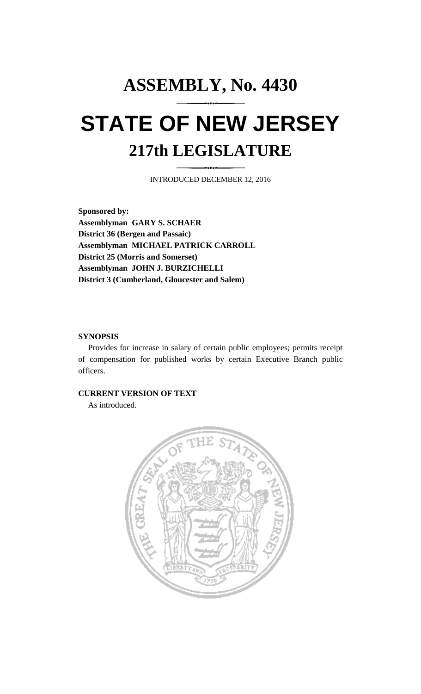# **ASSEMBLY, No. 4430 STATE OF NEW JERSEY 217th LEGISLATURE**

INTRODUCED DECEMBER 12, 2016

**Sponsored by: Assemblyman GARY S. SCHAER District 36 (Bergen and Passaic) Assemblyman MICHAEL PATRICK CARROLL District 25 (Morris and Somerset) Assemblyman JOHN J. BURZICHELLI District 3 (Cumberland, Gloucester and Salem)**

#### **SYNOPSIS**

Provides for increase in salary of certain public employees; permits receipt of compensation for published works by certain Executive Branch public officers.

#### **CURRENT VERSION OF TEXT**

As introduced.

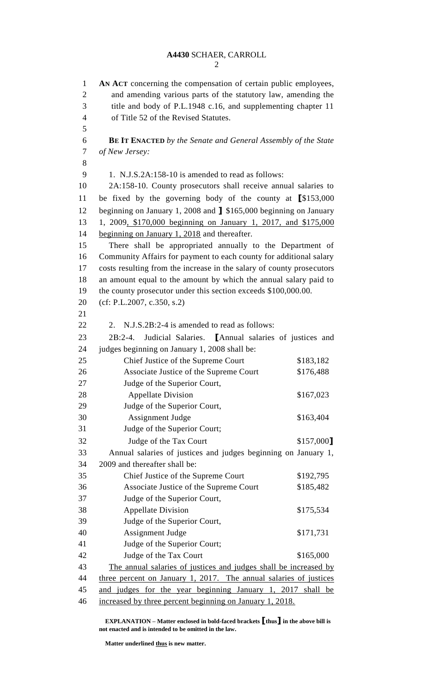**AN ACT** concerning the compensation of certain public employees, and amending various parts of the statutory law, amending the title and body of P.L.1948 c.16, and supplementing chapter 11 of Title 52 of the Revised Statutes. **BE IT ENACTED** *by the Senate and General Assembly of the State of New Jersey:* 1. N.J.S.2A:158-10 is amended to read as follows: 2A:158-10. County prosecutors shall receive annual salaries to be fixed by the governing body of the county at **[**\$153,000 beginning on January 1, 2008 and **]** \$165,000 beginning on January 1, 2009, \$170,000 beginning on January 1, 2017, and \$175,000 14 beginning on January 1, 2018 and thereafter. There shall be appropriated annually to the Department of Community Affairs for payment to each county for additional salary costs resulting from the increase in the salary of county prosecutors an amount equal to the amount by which the annual salary paid to the county prosecutor under this section exceeds \$100,000.00. (cf: P.L.2007, c.350, s.2) 22 2. N.J.S.2B:2-4 is amended to read as follows: 2B:2-4. Judicial Salaries. **[**Annual salaries of justices and judges beginning on January 1, 2008 shall be: 25 Chief Justice of the Supreme Court \$183,182 26 Associate Justice of the Supreme Court \$176,488 Judge of the Superior Court, 28 Appellate Division \$167,023 Judge of the Superior Court, 30 Assignment Judge \$163,404 Judge of the Superior Court; 32 Judge of the Tax Court \$157,000<sup>1</sup> Annual salaries of justices and judges beginning on January 1, 2009 and thereafter shall be: Chief Justice of the Supreme Court \$192,795 36 Associate Justice of the Supreme Court \$185,482 Judge of the Superior Court, 38 Appellate Division \$175,534 Judge of the Superior Court, 40 Assignment Judge \$171,731 Judge of the Superior Court; 42 Judge of the Tax Court \$165,000 The annual salaries of justices and judges shall be increased by three percent on January 1, 2017. The annual salaries of justices and judges for the year beginning January 1, 2017 shall be increased by three percent beginning on January 1, 2018.

**EXPLANATION – Matter enclosed in bold-faced brackets [thus] in the above bill is not enacted and is intended to be omitted in the law.**

**Matter underlined thus is new matter.**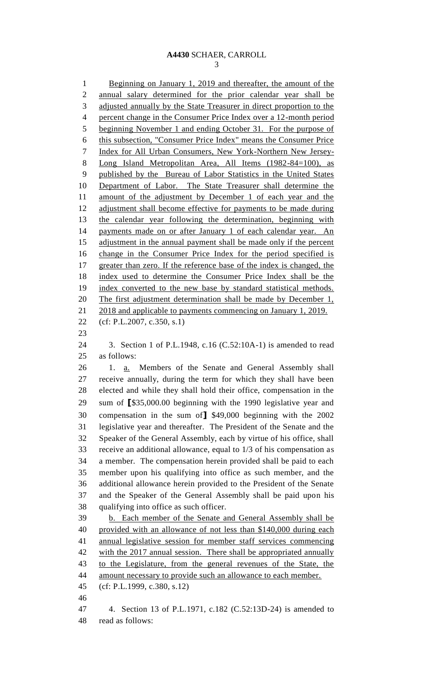1 Beginning on January 1, 2019 and thereafter, the amount of the annual salary determined for the prior calendar year shall be adjusted annually by the State Treasurer in direct proportion to the percent change in the Consumer Price Index over a 12-month period beginning November 1 and ending October 31. For the purpose of this subsection, "Consumer Price Index" means the Consumer Price Index for All Urban Consumers, New York-Northern New Jersey- Long Island Metropolitan Area, All Items (1982-84=100), as published by the Bureau of Labor Statistics in the United States Department of Labor. The State Treasurer shall determine the 11 amount of the adjustment by December 1 of each year and the 12 adjustment shall become effective for payments to be made during the calendar year following the determination, beginning with 14 payments made on or after January 1 of each calendar year. An 15 adjustment in the annual payment shall be made only if the percent change in the Consumer Price Index for the period specified is greater than zero. If the reference base of the index is changed, the index used to determine the Consumer Price Index shall be the index converted to the new base by standard statistical methods. 20 The first adjustment determination shall be made by December 1, 2018 and applicable to payments commencing on January 1, 2019. (cf: P.L.2007, c.350, s.1) 3. Section 1 of P.L.1948, c.16 (C.52:10A-1) is amended to read as follows: 1. a. Members of the Senate and General Assembly shall receive annually, during the term for which they shall have been elected and while they shall hold their office, compensation in the sum of **[**\$35,000.00 beginning with the 1990 legislative year and compensation in the sum of**]** \$49,000 beginning with the 2002 legislative year and thereafter. The President of the Senate and the Speaker of the General Assembly, each by virtue of his office, shall receive an additional allowance, equal to 1/3 of his compensation as a member. The compensation herein provided shall be paid to each member upon his qualifying into office as such member, and the additional allowance herein provided to the President of the Senate and the Speaker of the General Assembly shall be paid upon his qualifying into office as such officer. b. Each member of the Senate and General Assembly shall be provided with an allowance of not less than \$140,000 during each annual legislative session for member staff services commencing with the 2017 annual session. There shall be appropriated annually to the Legislature, from the general revenues of the State, the amount necessary to provide such an allowance to each member. (cf: P.L.1999, c.380, s.12) 4. Section 13 of P.L.1971, c.182 (C.52:13D-24) is amended to

read as follows: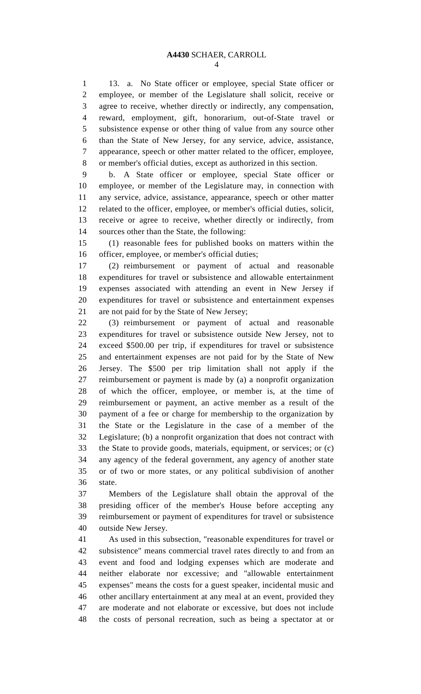13. a. No State officer or employee, special State officer or employee, or member of the Legislature shall solicit, receive or agree to receive, whether directly or indirectly, any compensation, reward, employment, gift, honorarium, out-of-State travel or subsistence expense or other thing of value from any source other than the State of New Jersey, for any service, advice, assistance, appearance, speech or other matter related to the officer, employee, or member's official duties, except as authorized in this section.

 b. A State officer or employee, special State officer or employee, or member of the Legislature may, in connection with any service, advice, assistance, appearance, speech or other matter related to the officer, employee, or member's official duties, solicit, receive or agree to receive, whether directly or indirectly, from sources other than the State, the following:

 (1) reasonable fees for published books on matters within the officer, employee, or member's official duties;

 (2) reimbursement or payment of actual and reasonable expenditures for travel or subsistence and allowable entertainment expenses associated with attending an event in New Jersey if expenditures for travel or subsistence and entertainment expenses are not paid for by the State of New Jersey;

 (3) reimbursement or payment of actual and reasonable expenditures for travel or subsistence outside New Jersey, not to exceed \$500.00 per trip, if expenditures for travel or subsistence and entertainment expenses are not paid for by the State of New Jersey. The \$500 per trip limitation shall not apply if the reimbursement or payment is made by (a) a nonprofit organization of which the officer, employee, or member is, at the time of reimbursement or payment, an active member as a result of the payment of a fee or charge for membership to the organization by the State or the Legislature in the case of a member of the Legislature; (b) a nonprofit organization that does not contract with the State to provide goods, materials, equipment, or services; or (c) any agency of the federal government, any agency of another state or of two or more states, or any political subdivision of another state.

 Members of the Legislature shall obtain the approval of the presiding officer of the member's House before accepting any reimbursement or payment of expenditures for travel or subsistence outside New Jersey.

 As used in this subsection, "reasonable expenditures for travel or subsistence" means commercial travel rates directly to and from an event and food and lodging expenses which are moderate and neither elaborate nor excessive; and "allowable entertainment expenses" means the costs for a guest speaker, incidental music and other ancillary entertainment at any meal at an event, provided they are moderate and not elaborate or excessive, but does not include the costs of personal recreation, such as being a spectator at or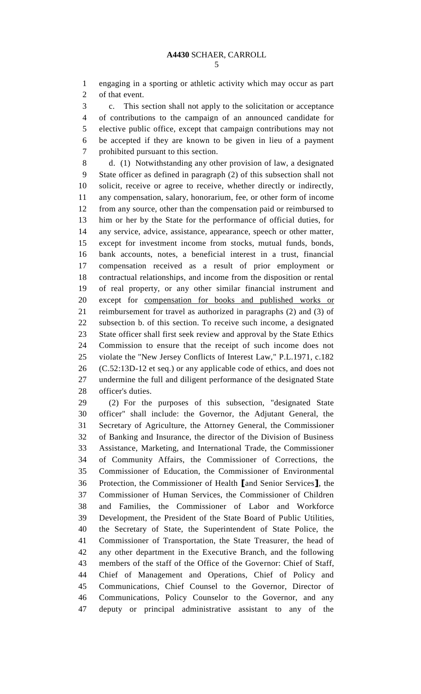engaging in a sporting or athletic activity which may occur as part of that event.

 c. This section shall not apply to the solicitation or acceptance of contributions to the campaign of an announced candidate for elective public office, except that campaign contributions may not be accepted if they are known to be given in lieu of a payment prohibited pursuant to this section.

 d. (1) Notwithstanding any other provision of law, a designated State officer as defined in paragraph (2) of this subsection shall not solicit, receive or agree to receive, whether directly or indirectly, any compensation, salary, honorarium, fee, or other form of income from any source, other than the compensation paid or reimbursed to him or her by the State for the performance of official duties, for any service, advice, assistance, appearance, speech or other matter, except for investment income from stocks, mutual funds, bonds, bank accounts, notes, a beneficial interest in a trust, financial compensation received as a result of prior employment or contractual relationships, and income from the disposition or rental of real property, or any other similar financial instrument and except for compensation for books and published works or reimbursement for travel as authorized in paragraphs (2) and (3) of subsection b. of this section. To receive such income, a designated State officer shall first seek review and approval by the State Ethics Commission to ensure that the receipt of such income does not violate the "New Jersey Conflicts of Interest Law," P.L.1971, c.182 (C.52:13D-12 et seq.) or any applicable code of ethics, and does not undermine the full and diligent performance of the designated State officer's duties.

 (2) For the purposes of this subsection, "designated State officer" shall include: the Governor, the Adjutant General, the Secretary of Agriculture, the Attorney General, the Commissioner of Banking and Insurance, the director of the Division of Business Assistance, Marketing, and International Trade, the Commissioner of Community Affairs, the Commissioner of Corrections, the Commissioner of Education, the Commissioner of Environmental Protection, the Commissioner of Health **[**and Senior Services**]**, the Commissioner of Human Services, the Commissioner of Children and Families, the Commissioner of Labor and Workforce Development, the President of the State Board of Public Utilities, the Secretary of State, the Superintendent of State Police, the Commissioner of Transportation, the State Treasurer, the head of any other department in the Executive Branch, and the following members of the staff of the Office of the Governor: Chief of Staff, Chief of Management and Operations, Chief of Policy and Communications, Chief Counsel to the Governor, Director of Communications, Policy Counselor to the Governor, and any deputy or principal administrative assistant to any of the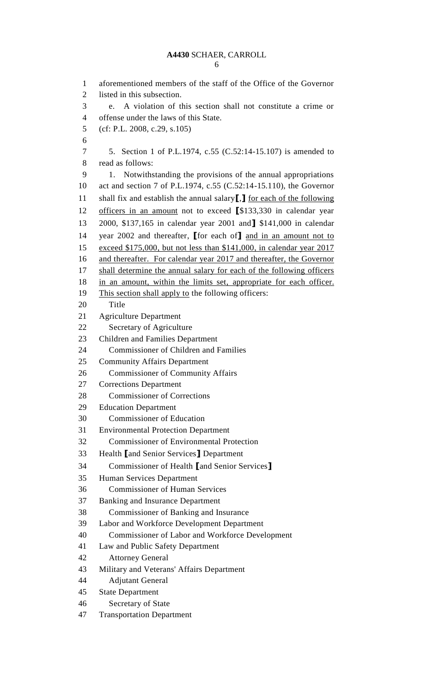aforementioned members of the staff of the Office of the Governor listed in this subsection. e. A violation of this section shall not constitute a crime or offense under the laws of this State. (cf: P.L. 2008, c.29, s.105) 5. Section 1 of P.L.1974, c.55 (C.52:14-15.107) is amended to read as follows: 1. Notwithstanding the provisions of the annual appropriations act and section 7 of P.L.1974, c.55 (C.52:14-15.110), the Governor shall fix and establish the annual salary**[**,**]** for each of the following officers in an amount not to exceed **[**\$133,330 in calendar year 2000, \$137,165 in calendar year 2001 and**]** \$141,000 in calendar year 2002 and thereafter, **[**for each of**]** and in an amount not to exceed \$175,000, but not less than \$141,000, in calendar year 2017 and thereafter. For calendar year 2017 and thereafter, the Governor 17 shall determine the annual salary for each of the following officers in an amount, within the limits set, appropriate for each officer. This section shall apply to the following officers: Title Agriculture Department Secretary of Agriculture Children and Families Department Commissioner of Children and Families Community Affairs Department Commissioner of Community Affairs Corrections Department Commissioner of Corrections Education Department Commissioner of Education Environmental Protection Department Commissioner of Environmental Protection Health **[**and Senior Services**]** Department Commissioner of Health **[**and Senior Services**]** Human Services Department Commissioner of Human Services Banking and Insurance Department Commissioner of Banking and Insurance Labor and Workforce Development Department Commissioner of Labor and Workforce Development Law and Public Safety Department Attorney General Military and Veterans' Affairs Department Adjutant General State Department Secretary of State Transportation Department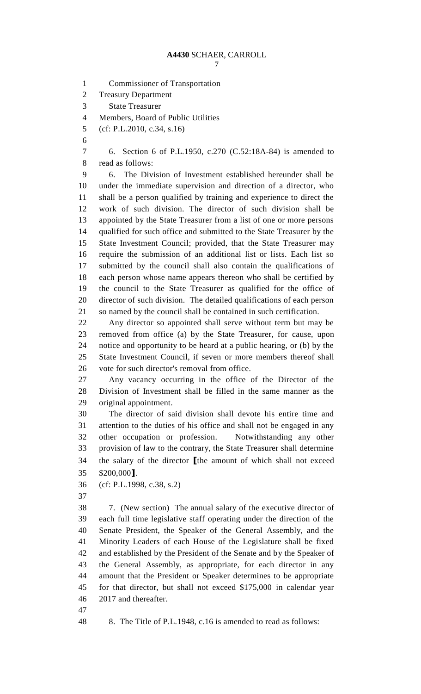Commissioner of Transportation Treasury Department State Treasurer Members, Board of Public Utilities (cf: P.L.2010, c.34, s.16) 6. Section 6 of P.L.1950, c.270 (C.52:18A-84) is amended to read as follows: 6. The Division of Investment established hereunder shall be under the immediate supervision and direction of a director, who shall be a person qualified by training and experience to direct the work of such division. The director of such division shall be appointed by the State Treasurer from a list of one or more persons qualified for such office and submitted to the State Treasurer by the State Investment Council; provided, that the State Treasurer may require the submission of an additional list or lists. Each list so submitted by the council shall also contain the qualifications of each person whose name appears thereon who shall be certified by the council to the State Treasurer as qualified for the office of director of such division. The detailed qualifications of each person so named by the council shall be contained in such certification. Any director so appointed shall serve without term but may be removed from office (a) by the State Treasurer, for cause, upon notice and opportunity to be heard at a public hearing, or (b) by the State Investment Council, if seven or more members thereof shall vote for such director's removal from office. Any vacancy occurring in the office of the Director of the Division of Investment shall be filled in the same manner as the original appointment. The director of said division shall devote his entire time and attention to the duties of his office and shall not be engaged in any other occupation or profession. Notwithstanding any other provision of law to the contrary, the State Treasurer shall determine the salary of the director **[**the amount of which shall not exceed \$200,000**]**. (cf: P.L.1998, c.38, s.2) 7. (New section) The annual salary of the executive director of each full time legislative staff operating under the direction of the Senate President, the Speaker of the General Assembly, and the Minority Leaders of each House of the Legislature shall be fixed and established by the President of the Senate and by the Speaker of the General Assembly, as appropriate, for each director in any amount that the President or Speaker determines to be appropriate for that director, but shall not exceed \$175,000 in calendar year 2017 and thereafter. 8. The Title of P.L.1948, c.16 is amended to read as follows: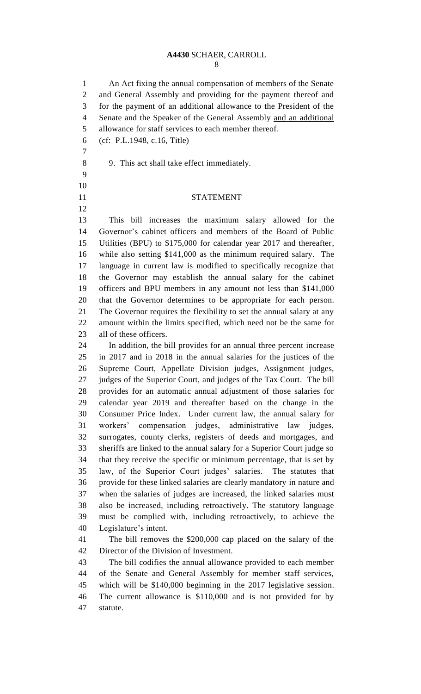An Act fixing the annual compensation of members of the Senate and General Assembly and providing for the payment thereof and for the payment of an additional allowance to the President of the Senate and the Speaker of the General Assembly and an additional allowance for staff services to each member thereof.

- (cf: P.L.1948, c.16, Title)
- 

 

9. This act shall take effect immediately.

#### STATEMENT

 This bill increases the maximum salary allowed for the Governor's cabinet officers and members of the Board of Public Utilities (BPU) to \$175,000 for calendar year 2017 and thereafter, while also setting \$141,000 as the minimum required salary. The language in current law is modified to specifically recognize that the Governor may establish the annual salary for the cabinet officers and BPU members in any amount not less than \$141,000 that the Governor determines to be appropriate for each person. The Governor requires the flexibility to set the annual salary at any amount within the limits specified, which need not be the same for all of these officers.

 In addition, the bill provides for an annual three percent increase in 2017 and in 2018 in the annual salaries for the justices of the Supreme Court, Appellate Division judges, Assignment judges, judges of the Superior Court, and judges of the Tax Court. The bill provides for an automatic annual adjustment of those salaries for calendar year 2019 and thereafter based on the change in the Consumer Price Index. Under current law, the annual salary for workers' compensation judges, administrative law judges, surrogates, county clerks, registers of deeds and mortgages, and sheriffs are linked to the annual salary for a Superior Court judge so that they receive the specific or minimum percentage, that is set by law, of the Superior Court judges' salaries. The statutes that provide for these linked salaries are clearly mandatory in nature and when the salaries of judges are increased, the linked salaries must also be increased, including retroactively. The statutory language must be complied with, including retroactively, to achieve the Legislature's intent.

 The bill removes the \$200,000 cap placed on the salary of the Director of the Division of Investment.

 The bill codifies the annual allowance provided to each member of the Senate and General Assembly for member staff services, which will be \$140,000 beginning in the 2017 legislative session. The current allowance is \$110,000 and is not provided for by statute.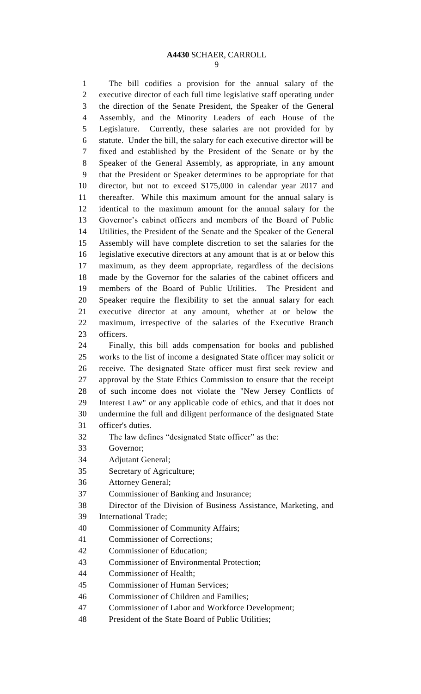The bill codifies a provision for the annual salary of the executive director of each full time legislative staff operating under the direction of the Senate President, the Speaker of the General Assembly, and the Minority Leaders of each House of the Legislature. Currently, these salaries are not provided for by statute. Under the bill, the salary for each executive director will be fixed and established by the President of the Senate or by the Speaker of the General Assembly, as appropriate, in any amount that the President or Speaker determines to be appropriate for that director, but not to exceed \$175,000 in calendar year 2017 and thereafter. While this maximum amount for the annual salary is identical to the maximum amount for the annual salary for the Governor's cabinet officers and members of the Board of Public Utilities, the President of the Senate and the Speaker of the General Assembly will have complete discretion to set the salaries for the legislative executive directors at any amount that is at or below this maximum, as they deem appropriate, regardless of the decisions made by the Governor for the salaries of the cabinet officers and members of the Board of Public Utilities. The President and Speaker require the flexibility to set the annual salary for each executive director at any amount, whether at or below the maximum, irrespective of the salaries of the Executive Branch officers. Finally, this bill adds compensation for books and published works to the list of income a designated State officer may solicit or receive. The designated State officer must first seek review and approval by the State Ethics Commission to ensure that the receipt of such income does not violate the "New Jersey Conflicts of Interest Law" or any applicable code of ethics, and that it does not undermine the full and diligent performance of the designated State officer's duties. The law defines "designated State officer" as the: Governor; Adjutant General; Secretary of Agriculture; Attorney General; Commissioner of Banking and Insurance; Director of the Division of Business Assistance, Marketing, and International Trade; Commissioner of Community Affairs; Commissioner of Corrections; Commissioner of Education;

- Commissioner of Environmental Protection;
- Commissioner of Health;
- Commissioner of Human Services;
- Commissioner of Children and Families;
- Commissioner of Labor and Workforce Development;
- President of the State Board of Public Utilities;